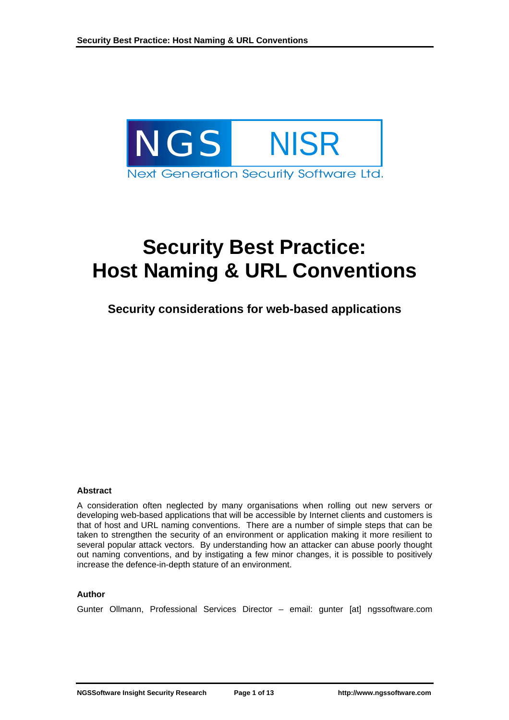

# **Security Best Practice: Host Naming & URL Conventions**

# **Security considerations for web-based applications**

#### **Abstract**

A consideration often neglected by many organisations when rolling out new servers or developing web-based applications that will be accessible by Internet clients and customers is that of host and URL naming conventions. There are a number of simple steps that can be taken to strengthen the security of an environment or application making it more resilient to several popular attack vectors. By understanding how an attacker can abuse poorly thought out naming conventions, and by instigating a few minor changes, it is possible to positively increase the defence-in-depth stature of an environment.

#### **Author**

Gunter Ollmann, Professional Services Director – email: gunter [at] ngssoftware.com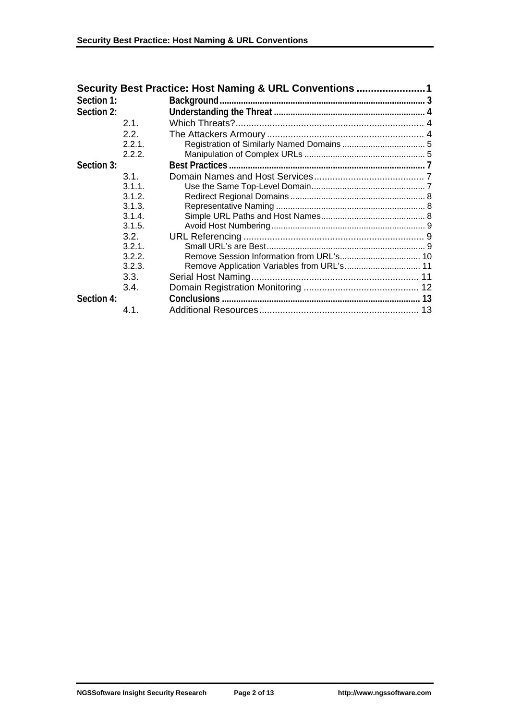|            |        | Security Best Practice: Host Naming & URL Conventions 1 |    |
|------------|--------|---------------------------------------------------------|----|
| Section 1: |        |                                                         |    |
| Section 2: |        |                                                         |    |
|            | 2.1    |                                                         |    |
|            | 2.2.   |                                                         |    |
|            | 2.2.1  |                                                         |    |
|            | 2.2.2. |                                                         |    |
| Section 3: |        | <b>Best Practices.</b>                                  |    |
|            | 3.1.   |                                                         |    |
|            | 3.1.1. |                                                         |    |
|            | 3.1.2. |                                                         |    |
|            | 3.1.3. |                                                         |    |
|            | 3.1.4. |                                                         |    |
|            | 3.1.5. |                                                         |    |
|            | 3.2.   |                                                         |    |
|            | 3.2.1. |                                                         |    |
|            | 3.2.2. |                                                         |    |
|            | 3.2.3. |                                                         |    |
|            | 3.3.   |                                                         |    |
|            | 3.4.   |                                                         |    |
| Section 4: |        |                                                         |    |
|            | 4.1.   |                                                         | 13 |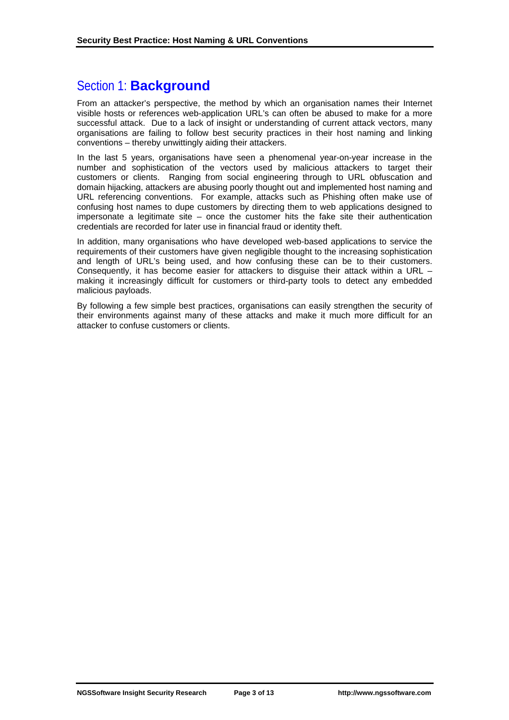# Section 1: **Background**

From an attacker's perspective, the method by which an organisation names their Internet visible hosts or references web-application URL's can often be abused to make for a more successful attack. Due to a lack of insight or understanding of current attack vectors, many organisations are failing to follow best security practices in their host naming and linking conventions – thereby unwittingly aiding their attackers.

In the last 5 years, organisations have seen a phenomenal year-on-year increase in the number and sophistication of the vectors used by malicious attackers to target their customers or clients. Ranging from social engineering through to URL obfuscation and domain hijacking, attackers are abusing poorly thought out and implemented host naming and URL referencing conventions. For example, attacks such as Phishing often make use of confusing host names to dupe customers by directing them to web applications designed to impersonate a legitimate site – once the customer hits the fake site their authentication credentials are recorded for later use in financial fraud or identity theft.

In addition, many organisations who have developed web-based applications to service the requirements of their customers have given negligible thought to the increasing sophistication and length of URL's being used, and how confusing these can be to their customers. Consequently, it has become easier for attackers to disquise their attack within a URL – making it increasingly difficult for customers or third-party tools to detect any embedded malicious payloads.

By following a few simple best practices, organisations can easily strengthen the security of their environments against many of these attacks and make it much more difficult for an attacker to confuse customers or clients.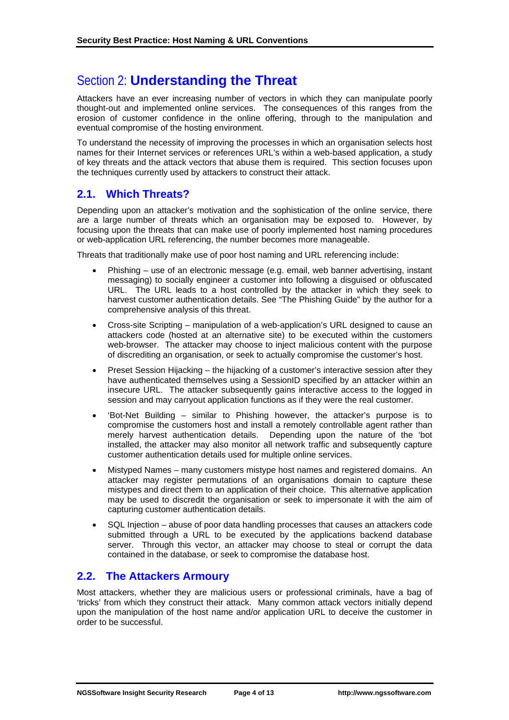# Section 2: **Understanding the Threat**

Attackers have an ever increasing number of vectors in which they can manipulate poorly thought-out and implemented online services. The consequences of this ranges from the erosion of customer confidence in the online offering, through to the manipulation and eventual compromise of the hosting environment.

To understand the necessity of improving the processes in which an organisation selects host names for their Internet services or references URL's within a web-based application, a study of key threats and the attack vectors that abuse them is required. This section focuses upon the techniques currently used by attackers to construct their attack.

# **2.1. Which Threats?**

Depending upon an attacker's motivation and the sophistication of the online service, there are a large number of threats which an organisation may be exposed to. However, by focusing upon the threats that can make use of poorly implemented host naming procedures or web-application URL referencing, the number becomes more manageable.

Threats that traditionally make use of poor host naming and URL referencing include:

- Phishing use of an electronic message (e.g. email, web banner advertising, instant messaging) to socially engineer a customer into following a disguised or obfuscated URL. The URL leads to a host controlled by the attacker in which they seek to harvest customer authentication details. See "The Phishing Guide" by the author for a comprehensive analysis of this threat.
- Cross-site Scripting manipulation of a web-application's URL designed to cause an attackers code (hosted at an alternative site) to be executed within the customers web-browser. The attacker may choose to inject malicious content with the purpose of discrediting an organisation, or seek to actually compromise the customer's host.
- Preset Session Hijacking the hijacking of a customer's interactive session after they have authenticated themselves using a SessionID specified by an attacker within an insecure URL. The attacker subsequently gains interactive access to the logged in session and may carryout application functions as if they were the real customer.
- 'Bot-Net Building similar to Phishing however, the attacker's purpose is to compromise the customers host and install a remotely controllable agent rather than merely harvest authentication details. Depending upon the nature of the 'bot installed, the attacker may also monitor all network traffic and subsequently capture customer authentication details used for multiple online services.
- Mistyped Names many customers mistype host names and registered domains. An attacker may register permutations of an organisations domain to capture these mistypes and direct them to an application of their choice. This alternative application may be used to discredit the organisation or seek to impersonate it with the aim of capturing customer authentication details.
- SQL Injection abuse of poor data handling processes that causes an attackers code submitted through a URL to be executed by the applications backend database server. Through this vector, an attacker may choose to steal or corrupt the data contained in the database, or seek to compromise the database host.

# **2.2. The Attackers Armoury**

Most attackers, whether they are malicious users or professional criminals, have a bag of 'tricks' from which they construct their attack. Many common attack vectors initially depend upon the manipulation of the host name and/or application URL to deceive the customer in order to be successful.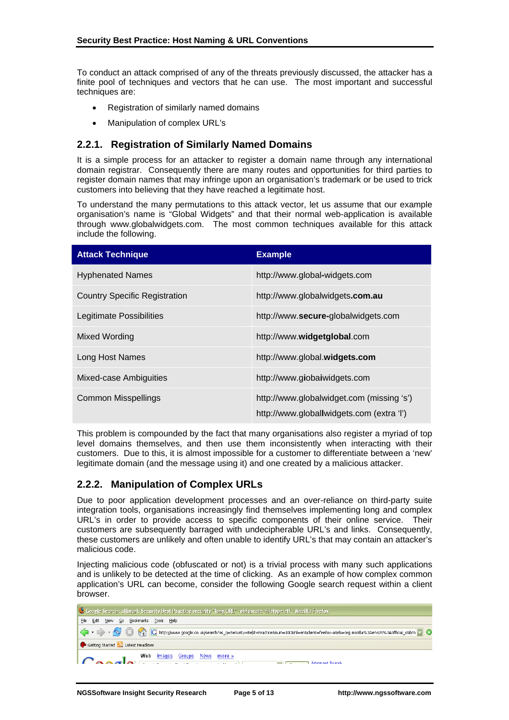To conduct an attack comprised of any of the threats previously discussed, the attacker has a finite pool of techniques and vectors that he can use. The most important and successful techniques are:

- Registration of similarly named domains
- Manipulation of complex URL's

#### **2.2.1. Registration of Similarly Named Domains**

It is a simple process for an attacker to register a domain name through any international domain registrar. Consequently there are many routes and opportunities for third parties to register domain names that may infringe upon an organisation's trademark or be used to trick customers into believing that they have reached a legitimate host.

To understand the many permutations to this attack vector, let us assume that our example organisation's name is "Global Widgets" and that their normal web-application is available through www.globalwidgets.com. The most common techniques available for this attack include the following.

| <b>Attack Technique</b>              | <b>Example</b>                                                                         |
|--------------------------------------|----------------------------------------------------------------------------------------|
| <b>Hyphenated Names</b>              | http://www.global-widgets.com                                                          |
| <b>Country Specific Registration</b> | http://www.globalwidgets.com.au                                                        |
| Legitimate Possibilities             | http://www.secure-globalwidgets.com                                                    |
| Mixed Wording                        | http://www.widgetglobal.com                                                            |
| Long Host Names                      | http://www.global.widgets.com                                                          |
| Mixed-case Ambiguities               | http://www.giobaiwidgets.com                                                           |
| <b>Common Misspellings</b>           | http://www.globalwidget.com (missing 's')<br>http://www.globallwidgets.com (extra 'l') |

This problem is compounded by the fact that many organisations also register a myriad of top level domains themselves, and then use them inconsistently when interacting with their customers. Due to this, it is almost impossible for a customer to differentiate between a 'new' legitimate domain (and the message using it) and one created by a malicious attacker.

#### **2.2.2. Manipulation of Complex URLs**

Due to poor application development processes and an over-reliance on third-party suite integration tools, organisations increasingly find themselves implementing long and complex URL's in order to provide access to specific components of their online service. Their customers are subsequently barraged with undecipherable URL's and links. Consequently, these customers are unlikely and often unable to identify URL's that may contain an attacker's malicious code.

Injecting malicious code (obfuscated or not) is a trivial process with many such applications and is unlikely to be detected at the time of clicking. As an example of how complex common application's URL can become, consider the following Google search request within a client browser.

| Coogle Search: allinuri: Security Best Practice security "long URL" -obfuscate -filetype: rtf - Mozilla Firefox |  |
|-----------------------------------------------------------------------------------------------------------------|--|
| File Edit View Go Bookmarks Tools Help                                                                          |  |
|                                                                                                                 |  |
| Getting Started <b>by</b> Latest Headlines                                                                      |  |
| Web <u>Images Groups News</u> more »<br>Advanced Search                                                         |  |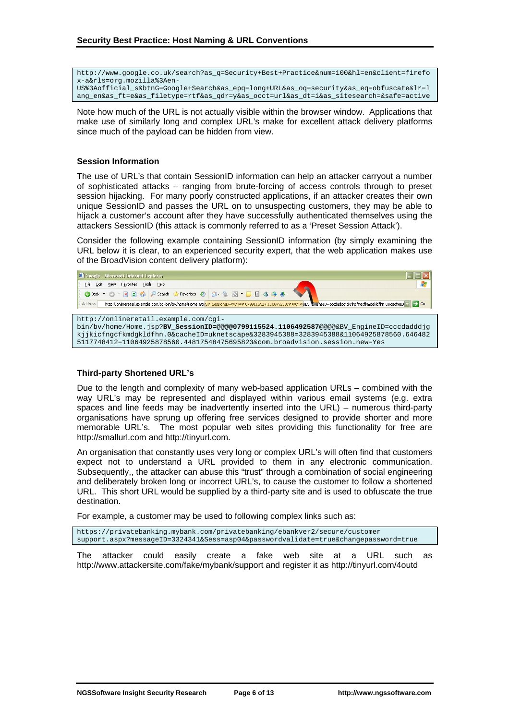http://www.google.co.uk/search?as\_q=Security+Best+Practice&num=100&hl=en&client=firefo x-a&rls=org.mozilla%3Aen-US%3Aofficial\_s&btnG=Google+Search&as\_epq=long+URL&as\_oq=security&as\_eq=obfuscate&lr=l ang\_en&as\_ft=e&as\_filetype=rtf&as\_qdr=y&as\_occt=url&as\_dt=i&as\_sitesearch=&safe=active

Note how much of the URL is not actually visible within the browser window. Applications that make use of similarly long and complex URL's make for excellent attack delivery platforms since much of the payload can be hidden from view.

#### **Session Information**

The use of URL's that contain SessionID information can help an attacker carryout a number of sophisticated attacks – ranging from brute-forcing of access controls through to preset session hijacking. For many poorly constructed applications, if an attacker creates their own unique SessionID and passes the URL on to unsuspecting customers, they may be able to hijack a customer's account after they have successfully authenticated themselves using the attackers SessionID (this attack is commonly referred to as a 'Preset Session Attack').

Consider the following example containing SessionID information (by simply examining the URL below it is clear, to an experienced security expert, that the web application makes use of the BroadVision content delivery platform):



#### **Third-party Shortened URL's**

Due to the length and complexity of many web-based application URLs – combined with the way URL's may be represented and displayed within various email systems (e.g. extra spaces and line feeds may be inadvertently inserted into the URL) – numerous third-party organisations have sprung up offering free services designed to provide shorter and more memorable URL's. The most popular web sites providing this functionality for free are http://smallurl.com and http://tinyurl.com.

An organisation that constantly uses very long or complex URL's will often find that customers expect not to understand a URL provided to them in any electronic communication. Subsequently,, the attacker can abuse this "trust" through a combination of social engineering and deliberately broken long or incorrect URL's, to cause the customer to follow a shortened URL. This short URL would be supplied by a third-party site and is used to obfuscate the true destination.

For example, a customer may be used to following complex links such as:

https://privatebanking.mybank.com/privatebanking/ebankver2/secure/customer support.aspx?messageID=3324341&Sess=asp04&passwordvalidate=true&changepassword=true

The attacker could easily create a fake web site at a URL such as http://www.attackersite.com/fake/mybank/support and register it as http://tinyurl.com/4outd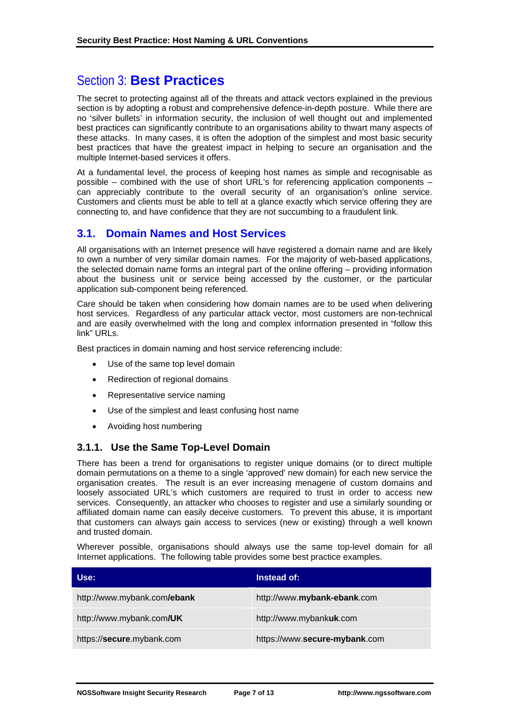# Section 3: **Best Practices**

The secret to protecting against all of the threats and attack vectors explained in the previous section is by adopting a robust and comprehensive defence-in-depth posture. While there are no 'silver bullets' in information security, the inclusion of well thought out and implemented best practices can significantly contribute to an organisations ability to thwart many aspects of these attacks. In many cases, it is often the adoption of the simplest and most basic security best practices that have the greatest impact in helping to secure an organisation and the multiple Internet-based services it offers.

At a fundamental level, the process of keeping host names as simple and recognisable as possible – combined with the use of short URL's for referencing application components – can appreciably contribute to the overall security of an organisation's online service. Customers and clients must be able to tell at a glance exactly which service offering they are connecting to, and have confidence that they are not succumbing to a fraudulent link.

# **3.1. Domain Names and Host Services**

All organisations with an Internet presence will have registered a domain name and are likely to own a number of very similar domain names. For the majority of web-based applications, the selected domain name forms an integral part of the online offering – providing information about the business unit or service being accessed by the customer, or the particular application sub-component being referenced.

Care should be taken when considering how domain names are to be used when delivering host services. Regardless of any particular attack vector, most customers are non-technical and are easily overwhelmed with the long and complex information presented in "follow this link" URLs.

Best practices in domain naming and host service referencing include:

- Use of the same top level domain
- Redirection of regional domains
- Representative service naming
- Use of the simplest and least confusing host name
- Avoiding host numbering

#### **3.1.1. Use the Same Top-Level Domain**

There has been a trend for organisations to register unique domains (or to direct multiple domain permutations on a theme to a single 'approved' new domain) for each new service the organisation creates. The result is an ever increasing menagerie of custom domains and loosely associated URL's which customers are required to trust in order to access new services. Consequently, an attacker who chooses to register and use a similarly sounding or affiliated domain name can easily deceive customers. To prevent this abuse, it is important that customers can always gain access to services (new or existing) through a well known and trusted domain.

Wherever possible, organisations should always use the same top-level domain for all Internet applications. The following table provides some best practice examples.

| Use:                        | Instead of:                   |
|-----------------------------|-------------------------------|
| http://www.mybank.com/ebank | http://www.mybank-ebank.com   |
| http://www.mybank.com/UK    | http://www.mybankuk.com       |
| https://secure.mybank.com   | https://www.secure-mybank.com |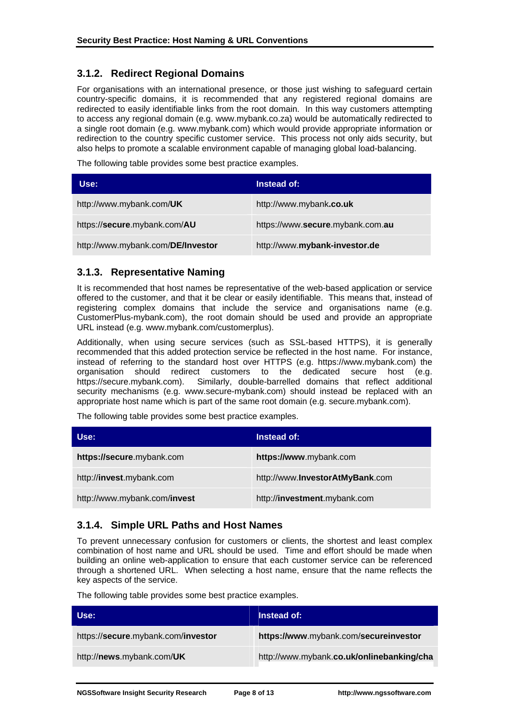## **3.1.2. Redirect Regional Domains**

For organisations with an international presence, or those just wishing to safeguard certain country-specific domains, it is recommended that any registered regional domains are redirected to easily identifiable links from the root domain. In this way customers attempting to access any regional domain (e.g. www.mybank.co.za) would be automatically redirected to a single root domain (e.g. www.mybank.com) which would provide appropriate information or redirection to the country specific customer service. This process not only aids security, but also helps to promote a scalable environment capable of managing global load-balancing.

The following table provides some best practice examples.

| Use:                              | Instead of:                      |
|-----------------------------------|----------------------------------|
| http://www.mybank.com/UK          | http://www.mybank.co.uk          |
| https://secure.mybank.com/AU      | https://www.secure.mybank.com.au |
| http://www.mybank.com/DE/Investor | http://www.mybank-investor.de    |

## **3.1.3. Representative Naming**

It is recommended that host names be representative of the web-based application or service offered to the customer, and that it be clear or easily identifiable. This means that, instead of registering complex domains that include the service and organisations name (e.g. CustomerPlus-mybank.com), the root domain should be used and provide an appropriate URL instead (e.g. www.mybank.com/customerplus).

Additionally, when using secure services (such as SSL-based HTTPS), it is generally recommended that this added protection service be reflected in the host name. For instance, instead of referring to the standard host over HTTPS (e.g. https://www.mybank.com) the organisation should redirect customers to the dedicated secure host (e.g. https://secure.mybank.com). Similarly, double-barrelled domains that reflect additional security mechanisms (e.g. www.secure-mybank.com) should instead be replaced with an appropriate host name which is part of the same root domain (e.g. secure.mybank.com).

The following table provides some best practice examples.

| Use:                         | Instead of:                             |
|------------------------------|-----------------------------------------|
| https://secure.mybank.com    | https://www.mybank.com                  |
| http://invest.mybank.com     | http://www. <b>InvestorAtMyBank.com</b> |
| http://www.mybank.com/invest | http://investment.mybank.com            |

## **3.1.4. Simple URL Paths and Host Names**

To prevent unnecessary confusion for customers or clients, the shortest and least complex combination of host name and URL should be used. Time and effort should be made when building an online web-application to ensure that each customer service can be referenced through a shortened URL. When selecting a host name, ensure that the name reflects the key aspects of the service.

The following table provides some best practice examples.

| Use:                               | Instead of:                               |
|------------------------------------|-------------------------------------------|
| https://secure.mybank.com/investor | https://www.mybank.com/secureinvestor     |
| http://news.mybank.com/UK          | http://www.mybank.co.uk/onlinebanking/cha |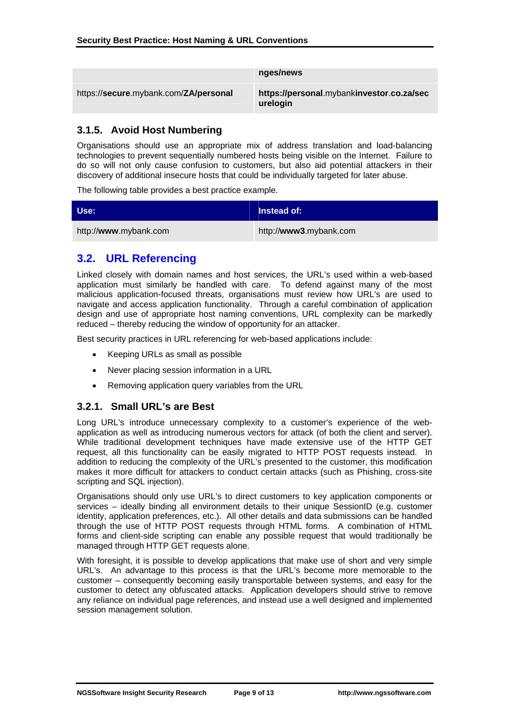|                                       | nges/news                                             |
|---------------------------------------|-------------------------------------------------------|
| https://secure.mybank.com/ZA/personal | https://personal.mybankinvestor.co.za/sec<br>urelogin |

## **3.1.5. Avoid Host Numbering**

Organisations should use an appropriate mix of address translation and load-balancing technologies to prevent sequentially numbered hosts being visible on the Internet. Failure to do so will not only cause confusion to customers, but also aid potential attackers in their discovery of additional insecure hosts that could be individually targeted for later abuse.

The following table provides a best practice example.

| <b>Use:</b>           | <b>Instead of:</b>     |
|-----------------------|------------------------|
| http://www.mybank.com | http://www3.mybank.com |

# **3.2. URL Referencing**

Linked closely with domain names and host services, the URL's used within a web-based application must similarly be handled with care. To defend against many of the most malicious application-focused threats, organisations must review how URL's are used to navigate and access application functionality. Through a careful combination of application design and use of appropriate host naming conventions, URL complexity can be markedly reduced – thereby reducing the window of opportunity for an attacker.

Best security practices in URL referencing for web-based applications include:

- Keeping URLs as small as possible
- Never placing session information in a URL
- Removing application query variables from the URL

## **3.2.1. Small URL's are Best**

Long URL's introduce unnecessary complexity to a customer's experience of the webapplication as well as introducing numerous vectors for attack (of both the client and server). While traditional development techniques have made extensive use of the HTTP GET request, all this functionality can be easily migrated to HTTP POST requests instead. In addition to reducing the complexity of the URL's presented to the customer, this modification makes it more difficult for attackers to conduct certain attacks (such as Phishing, cross-site scripting and SQL injection).

Organisations should only use URL's to direct customers to key application components or services – ideally binding all environment details to their unique SessionID (e.g. customer identity, application preferences, etc.). All other details and data submissions can be handled through the use of HTTP POST requests through HTML forms. A combination of HTML forms and client-side scripting can enable any possible request that would traditionally be managed through HTTP GET requests alone.

With foresight, it is possible to develop applications that make use of short and very simple URL's. An advantage to this process is that the URL's become more memorable to the customer – consequently becoming easily transportable between systems, and easy for the customer to detect any obfuscated attacks. Application developers should strive to remove any reliance on individual page references, and instead use a well designed and implemented session management solution.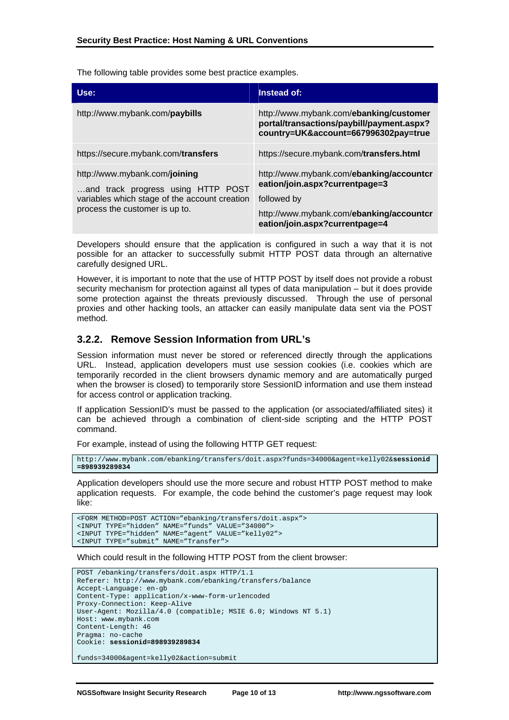The following table provides some best practice examples.

| Use:                                                                                                                                                   | Instead of:                                                                                                                  |
|--------------------------------------------------------------------------------------------------------------------------------------------------------|------------------------------------------------------------------------------------------------------------------------------|
| http://www.mybank.com/ <b>paybills</b>                                                                                                                 | http://www.mybank.com/ebanking/customer<br>portal/transactions/paybill/payment.aspx?<br>country=UK&account=667996302pay=true |
| https://secure.mybank.com/transfers                                                                                                                    | https://secure.mybank.com/transfers.html                                                                                     |
| http://www.mybank.com/joining<br>and track progress using HTTP POST<br>variables which stage of the account creation<br>process the customer is up to. | http://www.mybank.com/ebanking/accountcr<br>eation/join.aspx?currentpage=3<br>followed by                                    |
|                                                                                                                                                        | http://www.mybank.com/ebanking/accountcr<br>eation/join.aspx?currentpage=4                                                   |

Developers should ensure that the application is configured in such a way that it is not possible for an attacker to successfully submit HTTP POST data through an alternative carefully designed URL.

However, it is important to note that the use of HTTP POST by itself does not provide a robust security mechanism for protection against all types of data manipulation – but it does provide some protection against the threats previously discussed. Through the use of personal proxies and other hacking tools, an attacker can easily manipulate data sent via the POST method.

#### **3.2.2. Remove Session Information from URL's**

Session information must never be stored or referenced directly through the applications URL. Instead, application developers must use session cookies (i.e. cookies which are temporarily recorded in the client browsers dynamic memory and are automatically purged when the browser is closed) to temporarily store SessionID information and use them instead for access control or application tracking.

If application SessionID's must be passed to the application (or associated/affiliated sites) it can be achieved through a combination of client-side scripting and the HTTP POST command.

For example, instead of using the following HTTP GET request:

```
http://www.mybank.com/ebanking/transfers/doit.aspx?funds=34000&agent=kelly02&sessionid
=898939289834
```
Application developers should use the more secure and robust HTTP POST method to make application requests. For example, the code behind the customer's page request may look like:

```
<FORM METHOD=POST ACTION="ebanking/transfers/doit.aspx"> 
<INPUT TYPE="hidden" NAME="funds" VALUE="34000"> 
<INPUT TYPE="hidden" NAME="agent" VALUE="kelly02"> 
<INPUT TYPE="submit" NAME="Transfer">
```
Which could result in the following HTTP POST from the client browser:

```
POST /ebanking/transfers/doit.aspx HTTP/1.1 
Referer: http://www.mybank.com/ebanking/transfers/balance 
Accept-Language: en-gb 
Content-Type: application/x-www-form-urlencoded 
Proxy-Connection: Keep-Alive 
User-Agent: Mozilla/4.0 (compatible; MSIE 6.0; Windows NT 5.1) 
Host: www.mybank.com 
Content-Length: 46 
Pragma: no-cache 
Cookie: sessionid=898939289834
```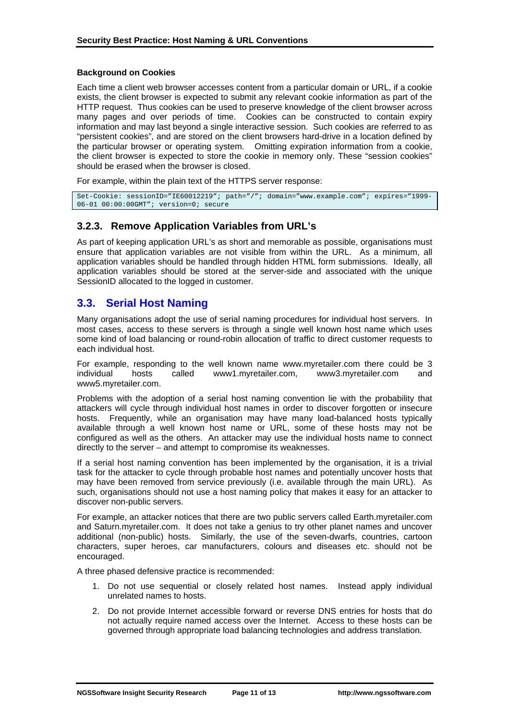#### **Background on Cookies**

Each time a client web browser accesses content from a particular domain or URL, if a cookie exists, the client browser is expected to submit any relevant cookie information as part of the HTTP request. Thus cookies can be used to preserve knowledge of the client browser across many pages and over periods of time. Cookies can be constructed to contain expiry information and may last beyond a single interactive session. Such cookies are referred to as "persistent cookies", and are stored on the client browsers hard-drive in a location defined by the particular browser or operating system. Omitting expiration information from a cookie, the client browser is expected to store the cookie in memory only. These "session cookies" should be erased when the browser is closed.

For example, within the plain text of the HTTPS server response:

Set-Cookie: sessionID="IE60012219"; path="/"; domain="www.example.com"; expires="1999- 06-01 00:00:00GMT"; version=0; secure

#### **3.2.3. Remove Application Variables from URL's**

As part of keeping application URL's as short and memorable as possible, organisations must ensure that application variables are not visible from within the URL. As a minimum, all application variables should be handled through hidden HTML form submissions. Ideally, all application variables should be stored at the server-side and associated with the unique SessionID allocated to the logged in customer.

## **3.3. Serial Host Naming**

Many organisations adopt the use of serial naming procedures for individual host servers. In most cases, access to these servers is through a single well known host name which uses some kind of load balancing or round-robin allocation of traffic to direct customer requests to each individual host.

For example, responding to the well known name www.myretailer.com there could be 3 individual hosts called www1.myretailer.com, www3.myretailer.com and www5.myretailer.com.

Problems with the adoption of a serial host naming convention lie with the probability that attackers will cycle through individual host names in order to discover forgotten or insecure hosts. Frequently, while an organisation may have many load-balanced hosts typically available through a well known host name or URL, some of these hosts may not be configured as well as the others. An attacker may use the individual hosts name to connect directly to the server – and attempt to compromise its weaknesses.

If a serial host naming convention has been implemented by the organisation, it is a trivial task for the attacker to cycle through probable host names and potentially uncover hosts that may have been removed from service previously (i.e. available through the main URL). As such, organisations should not use a host naming policy that makes it easy for an attacker to discover non-public servers.

For example, an attacker notices that there are two public servers called Earth.myretailer.com and Saturn.myretailer.com. It does not take a genius to try other planet names and uncover additional (non-public) hosts. Similarly, the use of the seven-dwarfs, countries, cartoon characters, super heroes, car manufacturers, colours and diseases etc. should not be encouraged.

A three phased defensive practice is recommended:

- 1. Do not use sequential or closely related host names. Instead apply individual unrelated names to hosts.
- 2. Do not provide Internet accessible forward or reverse DNS entries for hosts that do not actually require named access over the Internet. Access to these hosts can be governed through appropriate load balancing technologies and address translation.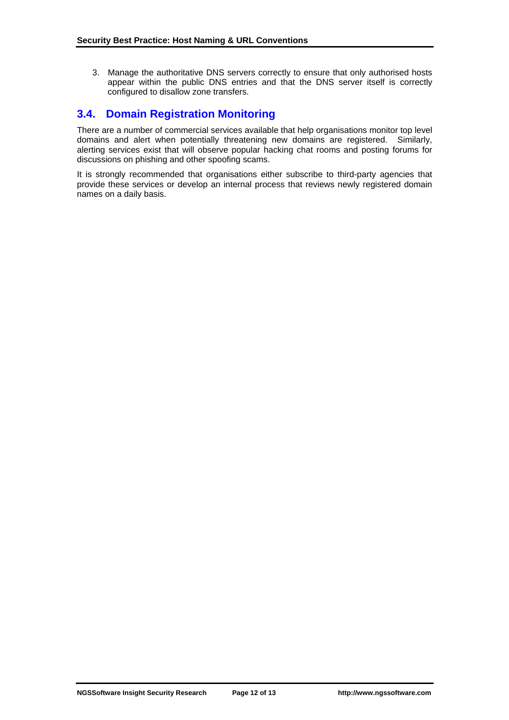3. Manage the authoritative DNS servers correctly to ensure that only authorised hosts appear within the public DNS entries and that the DNS server itself is correctly configured to disallow zone transfers.

# **3.4. Domain Registration Monitoring**

There are a number of commercial services available that help organisations monitor top level domains and alert when potentially threatening new domains are registered. Similarly, alerting services exist that will observe popular hacking chat rooms and posting forums for discussions on phishing and other spoofing scams.

It is strongly recommended that organisations either subscribe to third-party agencies that provide these services or develop an internal process that reviews newly registered domain names on a daily basis.